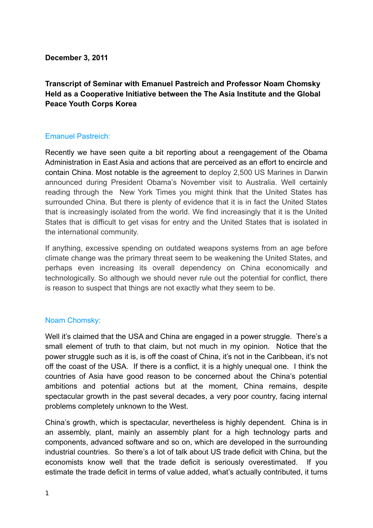**December 3, 2011**

**Transcript of Seminar with Emanuel Pastreich and Professor Noam Chomsky Held as a Cooperative Initiative between the The Asia Institute and the Global Peace Youth Corps Korea**

# Emanuel Pastreich:

Recently we have seen quite a bit reporting about a reengagement of the Obama Administration in East Asia and actions that are perceived as an effort to encircle and contain China. Most notable is the agreement to deploy 2,500 US Marines in Darwin announced during President Obama's November visit to Australia. Well certainly reading through the New York Times you might think that the United States has surrounded China. But there is plenty of evidence that it is in fact the United States that is increasingly isolated from the world. We find increasingly that it is the United States that is difficult to get visas for entry and the United States that is isolated in the international community.

If anything, excessive spending on outdated weapons systems from an age before climate change was the primary threat seem to be weakening the United States, and perhaps even increasing its overall dependency on China economically and technologically. So although we should never rule out the potential for conflict, there is reason to suspect that things are not exactly what they seem to be.

## Noam Chomsky:

Well it's claimed that the USA and China are engaged in a power struggle. There's a small element of truth to that claim, but not much in my opinion. Notice that the power struggle such as it is, is off the coast of China, it's not in the Caribbean, it's not off the coast of the USA. If there is a conflict, it is a highly unequal one. I think the countries of Asia have good reason to be concerned about the China's potential ambitions and potential actions but at the moment, China remains, despite spectacular growth in the past several decades, a very poor country, facing internal problems completely unknown to the West.

China's growth, which is spectacular, nevertheless is highly dependent. China is in an assembly, plant, mainly an assembly plant for a high technology parts and components, advanced software and so on, which are developed in the surrounding industrial countries. So there's a lot of talk about US trade deficit with China, but the economists know well that the trade deficit is seriously overestimated. If you estimate the trade deficit in terms of value added, what's actually contributed, it turns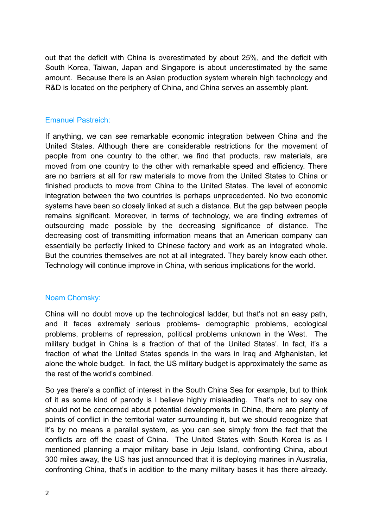out that the deficit with China is overestimated by about 25%, and the deficit with South Korea, Taiwan, Japan and Singapore is about underestimated by the same amount. Because there is an Asian production system wherein high technology and R&D is located on the periphery of China, and China serves an assembly plant.

### Emanuel Pastreich:

If anything, we can see remarkable economic integration between China and the United States. Although there are considerable restrictions for the movement of people from one country to the other, we find that products, raw materials, are moved from one country to the other with remarkable speed and efficiency. There are no barriers at all for raw materials to move from the United States to China or finished products to move from China to the United States. The level of economic integration between the two countries is perhaps unprecedented. No two economic systems have been so closely linked at such a distance. But the gap between people remains significant. Moreover, in terms of technology, we are finding extremes of outsourcing made possible by the decreasing significance of distance. The decreasing cost of transmitting information means that an American company can essentially be perfectly linked to Chinese factory and work as an integrated whole. But the countries themselves are not at all integrated. They barely know each other. Technology will continue improve in China, with serious implications for the world.

#### Noam Chomsky:

China will no doubt move up the technological ladder, but that's not an easy path, and it faces extremely serious problems- demographic problems, ecological problems, problems of repression, political problems unknown in the West. The military budget in China is a fraction of that of the United States'. In fact, it's a fraction of what the United States spends in the wars in Iraq and Afghanistan, let alone the whole budget. In fact, the US military budget is approximately the same as the rest of the world's combined.

So yes there's a conflict of interest in the South China Sea for example, but to think of it as some kind of parody is I believe highly misleading. That's not to say one should not be concerned about potential developments in China, there are plenty of points of conflict in the territorial water surrounding it, but we should recognize that it's by no means a parallel system, as you can see simply from the fact that the conflicts are off the coast of China. The United States with South Korea is as I mentioned planning a major military base in Jeju Island, confronting China, about 300 miles away, the US has just announced that it is deploying marines in Australia, confronting China, that's in addition to the many military bases it has there already.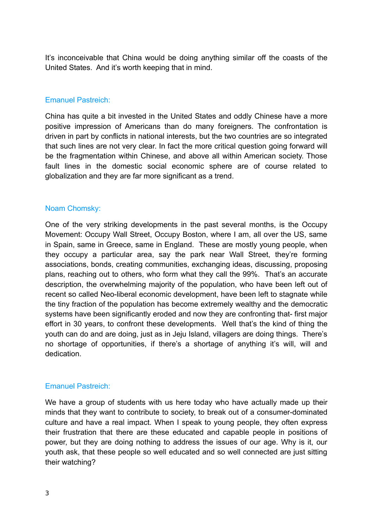It's inconceivable that China would be doing anything similar off the coasts of the United States. And it's worth keeping that in mind.

## Emanuel Pastreich:

China has quite a bit invested in the United States and oddly Chinese have a more positive impression of Americans than do many foreigners. The confrontation is driven in part by conflicts in national interests, but the two countries are so integrated that such lines are not very clear. In fact the more critical question going forward will be the fragmentation within Chinese, and above all within American society. Those fault lines in the domestic social economic sphere are of course related to globalization and they are far more significant as a trend.

### Noam Chomsky:

One of the very striking developments in the past several months, is the Occupy Movement: Occupy Wall Street, Occupy Boston, where I am, all over the US, same in Spain, same in Greece, same in England. These are mostly young people, when they occupy a particular area, say the park near Wall Street, they're forming associations, bonds, creating communities, exchanging ideas, discussing, proposing plans, reaching out to others, who form what they call the 99%. That's an accurate description, the overwhelming majority of the population, who have been left out of recent so called Neo-liberal economic development, have been left to stagnate while the tiny fraction of the population has become extremely wealthy and the democratic systems have been significantly eroded and now they are confronting that- first major effort in 30 years, to confront these developments. Well that's the kind of thing the youth can do and are doing, just as in Jeju Island, villagers are doing things. There's no shortage of opportunities, if there's a shortage of anything it's will, will and dedication.

## Emanuel Pastreich:

We have a group of students with us here today who have actually made up their minds that they want to contribute to society, to break out of a consumer-dominated culture and have a real impact. When I speak to young people, they often express their frustration that there are these educated and capable people in positions of power, but they are doing nothing to address the issues of our age. Why is it, our youth ask, that these people so well educated and so well connected are just sitting their watching?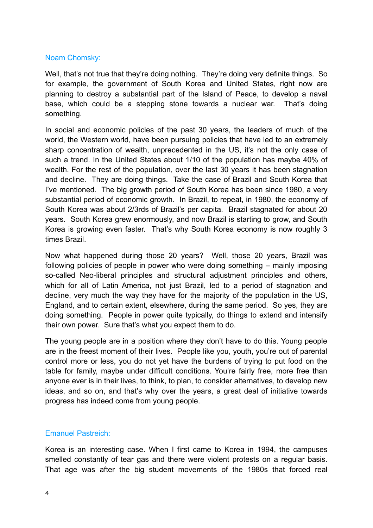### Noam Chomsky:

Well, that's not true that they're doing nothing. They're doing very definite things. So for example, the government of South Korea and United States, right now are planning to destroy a substantial part of the Island of Peace, to develop a naval base, which could be a stepping stone towards a nuclear war. That's doing something.

In social and economic policies of the past 30 years, the leaders of much of the world, the Western world, have been pursuing policies that have led to an extremely sharp concentration of wealth, unprecedented in the US, it's not the only case of such a trend. In the United States about 1/10 of the population has maybe 40% of wealth. For the rest of the population, over the last 30 years it has been stagnation and decline. They are doing things. Take the case of Brazil and South Korea that I've mentioned. The big growth period of South Korea has been since 1980, a very substantial period of economic growth. In Brazil, to repeat, in 1980, the economy of South Korea was about 2/3rds of Brazil's per capita. Brazil stagnated for about 20 years. South Korea grew enormously, and now Brazil is starting to grow, and South Korea is growing even faster. That's why South Korea economy is now roughly 3 times Brazil.

Now what happened during those 20 years? Well, those 20 years, Brazil was following policies of people in power who were doing something – mainly imposing so-called Neo-liberal principles and structural adjustment principles and others, which for all of Latin America, not just Brazil, led to a period of stagnation and decline, very much the way they have for the majority of the population in the US, England, and to certain extent, elsewhere, during the same period. So yes, they are doing something. People in power quite typically, do things to extend and intensify their own power. Sure that's what you expect them to do.

The young people are in a position where they don't have to do this. Young people are in the freest moment of their lives. People like you, youth, you're out of parental control more or less, you do not yet have the burdens of trying to put food on the table for family, maybe under difficult conditions. You're fairly free, more free than anyone ever is in their lives, to think, to plan, to consider alternatives, to develop new ideas, and so on, and that's why over the years, a great deal of initiative towards progress has indeed come from young people.

## Emanuel Pastreich:

Korea is an interesting case. When I first came to Korea in 1994, the campuses smelled constantly of tear gas and there were violent protests on a regular basis. That age was after the big student movements of the 1980s that forced real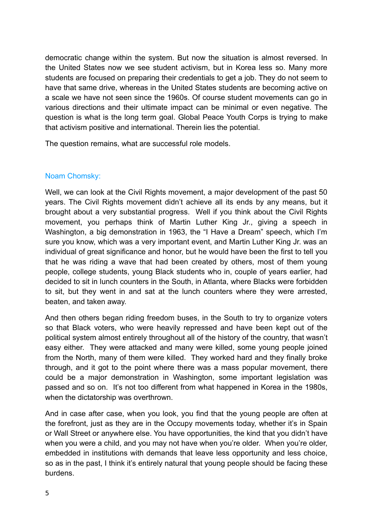democratic change within the system. But now the situation is almost reversed. In the United States now we see student activism, but in Korea less so. Many more students are focused on preparing their credentials to get a job. They do not seem to have that same drive, whereas in the United States students are becoming active on a scale we have not seen since the 1960s. Of course student movements can go in various directions and their ultimate impact can be minimal or even negative. The question is what is the long term goal. Global Peace Youth Corps is trying to make that activism positive and international. Therein lies the potential.

The question remains, what are successful role models.

## Noam Chomsky:

Well, we can look at the Civil Rights movement, a major development of the past 50 years. The Civil Rights movement didn't achieve all its ends by any means, but it brought about a very substantial progress. Well if you think about the Civil Rights movement, you perhaps think of Martin Luther King Jr., giving a speech in Washington, a big demonstration in 1963, the "I Have a Dream" speech, which I'm sure you know, which was a very important event, and Martin Luther King Jr. was an individual of great significance and honor, but he would have been the first to tell you that he was riding a wave that had been created by others, most of them young people, college students, young Black students who in, couple of years earlier, had decided to sit in lunch counters in the South, in Atlanta, where Blacks were forbidden to sit, but they went in and sat at the lunch counters where they were arrested, beaten, and taken away.

And then others began riding freedom buses, in the South to try to organize voters so that Black voters, who were heavily repressed and have been kept out of the political system almost entirely throughout all of the history of the country, that wasn't easy either. They were attacked and many were killed, some young people joined from the North, many of them were killed. They worked hard and they finally broke through, and it got to the point where there was a mass popular movement, there could be a major demonstration in Washington, some important legislation was passed and so on. It's not too different from what happened in Korea in the 1980s, when the dictatorship was overthrown.

And in case after case, when you look, you find that the young people are often at the forefront, just as they are in the Occupy movements today, whether it's in Spain or Wall Street or anywhere else. You have opportunities, the kind that you didn't have when you were a child, and you may not have when you're older. When you're older, embedded in institutions with demands that leave less opportunity and less choice, so as in the past, I think it's entirely natural that young people should be facing these burdens.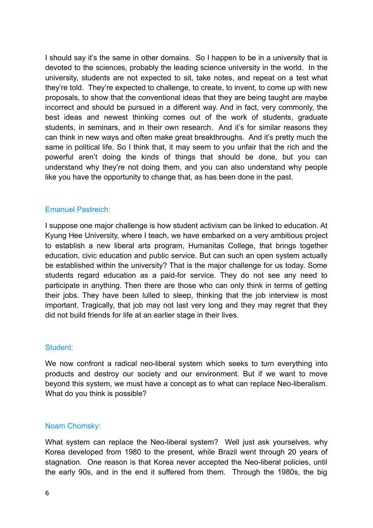I should say it's the same in other domains. So I happen to be in a university that is devoted to the sciences, probably the leading science university in the world. In the university, students are not expected to sit, take notes, and repeat on a test what they're told. They're expected to challenge, to create, to invent, to come up with new proposals, to show that the conventional ideas that they are being taught are maybe incorrect and should be pursued in a different way. And in fact, very commonly, the best ideas and newest thinking comes out of the work of students, graduate students, in seminars, and in their own research. And it's for similar reasons they can think in new ways and often make great breakthroughs. And it's pretty much the same in political life. So I think that, it may seem to you unfair that the rich and the powerful aren't doing the kinds of things that should be done, but you can understand why they're not doing them, and you can also understand why people like you have the opportunity to change that, as has been done in the past.

### Emanuel Pastreich:

I suppose one major challenge is how student activism can be linked to education. At Kyung Hee University, where I teach, we have embarked on a very ambitious project to establish a new liberal arts program, Humanitas College, that brings together education, civic education and public service. But can such an open system actually be established within the university? That is the major challenge for us today. Some students regard education as a paid-for service. They do not see any need to participate in anything. Then there are those who can only think in terms of getting their jobs. They have been lulled to sleep, thinking that the job interview is most important. Tragically, that job may not last very long and they may regret that they did not build friends for life at an earlier stage in their lives.

#### Student:

We now confront a radical neo-liberal system which seeks to turn everything into products and destroy our society and our environment. But if we want to move beyond this system, we must have a concept as to what can replace Neo-liberalism. What do you think is possible?

## Noam Chomsky:

What system can replace the Neo-liberal system? Well just ask yourselves, why Korea developed from 1980 to the present, while Brazil went through 20 years of stagnation. One reason is that Korea never accepted the Neo-liberal policies, until the early 90s, and in the end it suffered from them. Through the 1980s, the big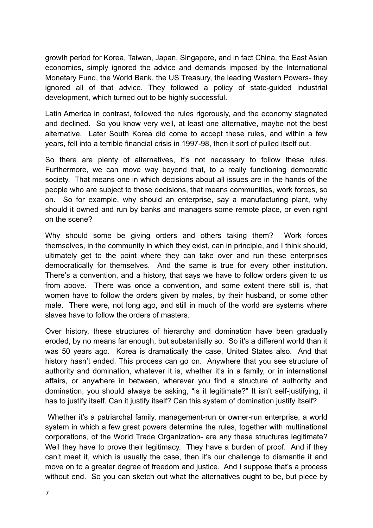growth period for Korea, Taiwan, Japan, Singapore, and in fact China, the East Asian economies, simply ignored the advice and demands imposed by the International Monetary Fund, the World Bank, the US Treasury, the leading Western Powers- they ignored all of that advice. They followed a policy of state-guided industrial development, which turned out to be highly successful.

Latin America in contrast, followed the rules rigorously, and the economy stagnated and declined. So you know very well, at least one alternative, maybe not the best alternative. Later South Korea did come to accept these rules, and within a few years, fell into a terrible financial crisis in 1997-98, then it sort of pulled itself out.

So there are plenty of alternatives, it's not necessary to follow these rules. Furthermore, we can move way beyond that, to a really functioning democratic society. That means one in which decisions about all issues are in the hands of the people who are subject to those decisions, that means communities, work forces, so on. So for example, why should an enterprise, say a manufacturing plant, why should it owned and run by banks and managers some remote place, or even right on the scene?

Why should some be giving orders and others taking them? Work forces themselves, in the community in which they exist, can in principle, and I think should, ultimately get to the point where they can take over and run these enterprises democratically for themselves. And the same is true for every other institution. There's a convention, and a history, that says we have to follow orders given to us from above. There was once a convention, and some extent there still is, that women have to follow the orders given by males, by their husband, or some other male. There were, not long ago, and still in much of the world are systems where slaves have to follow the orders of masters.

Over history, these structures of hierarchy and domination have been gradually eroded, by no means far enough, but substantially so. So it's a different world than it was 50 years ago. Korea is dramatically the case, United States also. And that history hasn't ended. This process can go on. Anywhere that you see structure of authority and domination, whatever it is, whether it's in a family, or in international affairs, or anywhere in between, wherever you find a structure of authority and domination, you should always be asking, "is it legitimate?" It isn't self-justifying, it has to justify itself. Can it justify itself? Can this system of domination justify itself?

Whether it's a patriarchal family, management-run or owner-run enterprise, a world system in which a few great powers determine the rules, together with multinational corporations, of the World Trade Organization- are any these structures legitimate? Well they have to prove their legitimacy. They have a burden of proof. And if they can't meet it, which is usually the case, then it's our challenge to dismantle it and move on to a greater degree of freedom and justice. And I suppose that's a process without end. So you can sketch out what the alternatives ought to be, but piece by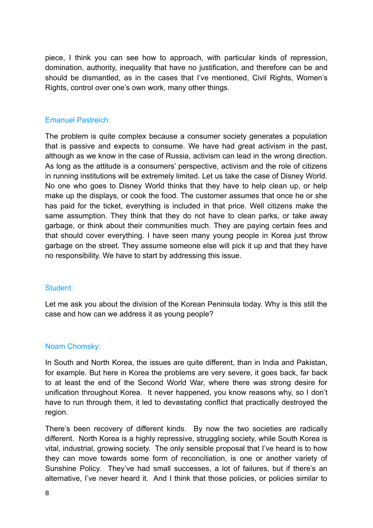piece, I think you can see how to approach, with particular kinds of repression, domination, authority, inequality that have no justification, and therefore can be and should be dismantled, as in the cases that I've mentioned, Civil Rights, Women's Rights, control over one's own work, many other things.

### Emanuel Pastreich:

The problem is quite complex because a consumer society generates a population that is passive and expects to consume. We have had great activism in the past, although as we know in the case of Russia, activism can lead in the wrong direction. As long as the attitude is a consumers' perspective, activism and the role of citizens in running institutions will be extremely limited. Let us take the case of Disney World. No one who goes to Disney World thinks that they have to help clean up, or help make up the displays, or cook the food. The customer assumes that once he or she has paid for the ticket, everything is included in that price. Well citizens make the same assumption. They think that they do not have to clean parks, or take away garbage, or think about their communities much. They are paying certain fees and that should cover everything. I have seen many young people in Korea just throw garbage on the street. They assume someone else will pick it up and that they have no responsibility. We have to start by addressing this issue.

#### Student:

Let me ask you about the division of the Korean Peninsula today. Why is this still the case and how can we address it as young people?

#### Noam Chomsky:

In South and North Korea, the issues are quite different, than in India and Pakistan, for example. But here in Korea the problems are very severe, it goes back, far back to at least the end of the Second World War, where there was strong desire for unification throughout Korea. It never happened, you know reasons why, so I don't have to run through them, it led to devastating conflict that practically destroyed the region.

There's been recovery of different kinds. By now the two societies are radically different. North Korea is a highly repressive, struggling society, while South Korea is vital, industrial, growing society. The only sensible proposal that I've heard is to how they can move towards some form of reconciliation, is one or another variety of Sunshine Policy. They've had small successes, a lot of failures, but if there's an alternative, I've never heard it. And I think that those policies, or policies similar to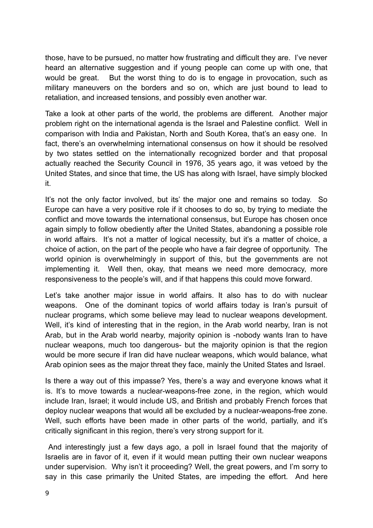those, have to be pursued, no matter how frustrating and difficult they are. I've never heard an alternative suggestion and if young people can come up with one, that would be great. But the worst thing to do is to engage in provocation, such as military maneuvers on the borders and so on, which are just bound to lead to retaliation, and increased tensions, and possibly even another war.

Take a look at other parts of the world, the problems are different. Another major problem right on the international agenda is the Israel and Palestine conflict. Well in comparison with India and Pakistan, North and South Korea, that's an easy one. In fact, there's an overwhelming international consensus on how it should be resolved by two states settled on the internationally recognized border and that proposal actually reached the Security Council in 1976, 35 years ago, it was vetoed by the United States, and since that time, the US has along with Israel, have simply blocked it.

It's not the only factor involved, but its' the major one and remains so today. So Europe can have a very positive role if it chooses to do so, by trying to mediate the conflict and move towards the international consensus, but Europe has chosen once again simply to follow obediently after the United States, abandoning a possible role in world affairs. It's not a matter of logical necessity, but it's a matter of choice, a choice of action, on the part of the people who have a fair degree of opportunity. The world opinion is overwhelmingly in support of this, but the governments are not implementing it. Well then, okay, that means we need more democracy, more responsiveness to the people's will, and if that happens this could move forward.

Let's take another major issue in world affairs. It also has to do with nuclear weapons. One of the dominant topics of world affairs today is Iran's pursuit of nuclear programs, which some believe may lead to nuclear weapons development. Well, it's kind of interesting that in the region, in the Arab world nearby, Iran is not Arab, but in the Arab world nearby, majority opinion is -nobody wants Iran to have nuclear weapons, much too dangerous- but the majority opinion is that the region would be more secure if Iran did have nuclear weapons, which would balance, what Arab opinion sees as the major threat they face, mainly the United States and Israel.

Is there a way out of this impasse? Yes, there's a way and everyone knows what it is. It's to move towards a nuclear-weapons-free zone, in the region, which would include Iran, Israel; it would include US, and British and probably French forces that deploy nuclear weapons that would all be excluded by a nuclear-weapons-free zone. Well, such efforts have been made in other parts of the world, partially, and it's critically significant in this region, there's very strong support for it.

 And interestingly just a few days ago, a poll in Israel found that the majority of Israelis are in favor of it, even if it would mean putting their own nuclear weapons under supervision. Why isn't it proceeding? Well, the great powers, and I'm sorry to say in this case primarily the United States, are impeding the effort. And here